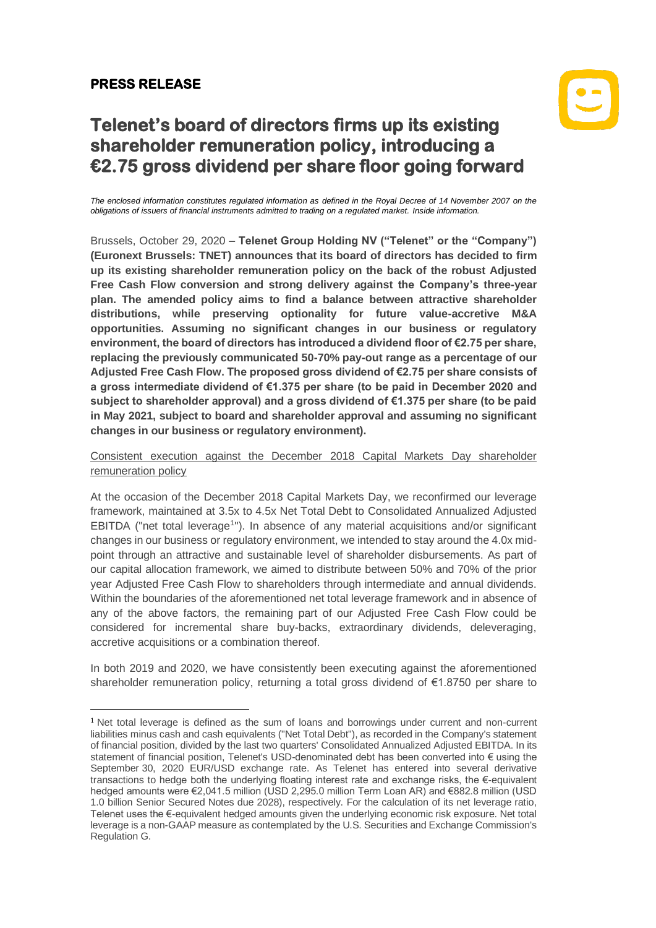### **PRESS RELEASE**

# $|\mathbf{C}|$

## **Telenet's board of directors firms up its existing shareholder remuneration policy, introducing a €2.75 gross dividend per share floor going forward**

*The enclosed information constitutes regulated information as defined in the Royal Decree of 14 November 2007 on the obligations of issuers of financial instruments admitted to trading on a regulated market. Inside information.*

Brussels, October 29, 2020 – **Telenet Group Holding NV ("Telenet" or the "Company") (Euronext Brussels: TNET) announces that its board of directors has decided to firm up its existing shareholder remuneration policy on the back of the robust Adjusted Free Cash Flow conversion and strong delivery against the Company's three-year plan. The amended policy aims to find a balance between attractive shareholder distributions, while preserving optionality for future value-accretive M&A opportunities. Assuming no significant changes in our business or regulatory environment, the board of directors has introduced a dividend floor of €2.75 per share, replacing the previously communicated 50-70% pay-out range as a percentage of our Adjusted Free Cash Flow. The proposed gross dividend of €2.75 per share consists of a gross intermediate dividend of €1.375 per share (to be paid in December 2020 and subject to shareholder approval) and a gross dividend of €1.375 per share (to be paid in May 2021, subject to board and shareholder approval and assuming no significant changes in our business or regulatory environment).**

Consistent execution against the December 2018 Capital Markets Day shareholder remuneration policy

At the occasion of the December 2018 Capital Markets Day, we reconfirmed our leverage framework, maintained at 3.5x to 4.5x Net Total Debt to Consolidated Annualized Adjusted EBITDA ("net total leverage<sup>1</sup>"). In absence of any material acquisitions and/or significant changes in our business or regulatory environment, we intended to stay around the 4.0x midpoint through an attractive and sustainable level of shareholder disbursements. As part of our capital allocation framework, we aimed to distribute between 50% and 70% of the prior year Adjusted Free Cash Flow to shareholders through intermediate and annual dividends. Within the boundaries of the aforementioned net total leverage framework and in absence of any of the above factors, the remaining part of our Adjusted Free Cash Flow could be considered for incremental share buy-backs, extraordinary dividends, deleveraging, accretive acquisitions or a combination thereof.

In both 2019 and 2020, we have consistently been executing against the aforementioned shareholder remuneration policy, returning a total gross dividend of €1.8750 per share to

<sup>&</sup>lt;sup>1</sup> Net total leverage is defined as the sum of loans and borrowings under current and non-current liabilities minus cash and cash equivalents ("Net Total Debt"), as recorded in the Company's statement of financial position, divided by the last two quarters' Consolidated Annualized Adjusted EBITDA. In its statement of financial position, Telenet's USD-denominated debt has been converted into € using the September 30, 2020 EUR/USD exchange rate. As Telenet has entered into several derivative transactions to hedge both the underlying floating interest rate and exchange risks, the €-equivalent hedged amounts were €2,041.5 million (USD 2,295.0 million Term Loan AR) and €882.8 million (USD 1.0 billion Senior Secured Notes due 2028), respectively. For the calculation of its net leverage ratio, Telenet uses the €-equivalent hedged amounts given the underlying economic risk exposure. Net total leverage is a non-GAAP measure as contemplated by the U.S. Securities and Exchange Commission's Regulation G.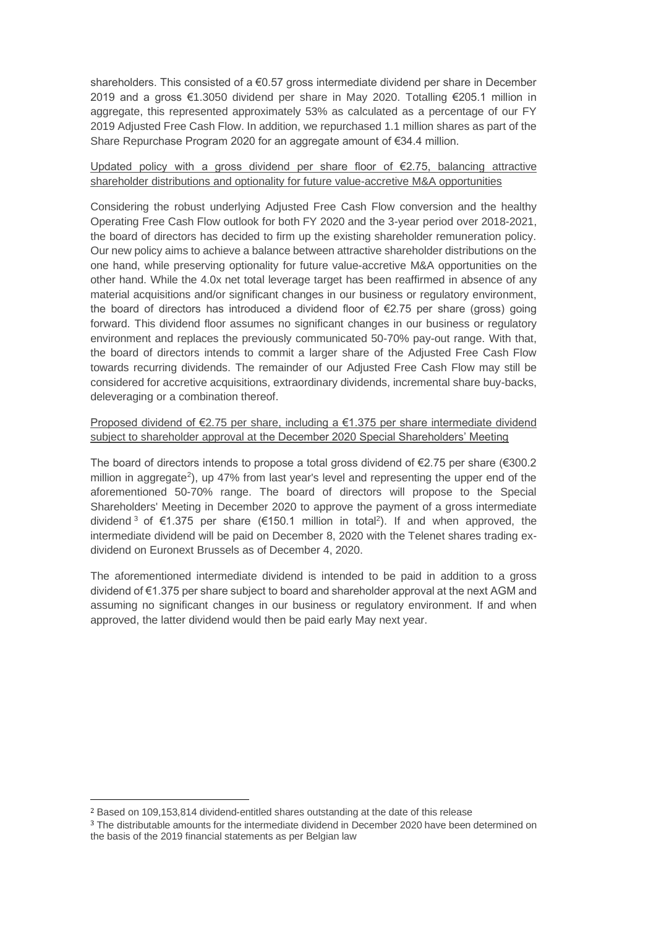shareholders. This consisted of a  $\epsilon$ 0.57 gross intermediate dividend per share in December 2019 and a gross €1.3050 dividend per share in May 2020. Totalling €205.1 million in aggregate, this represented approximately 53% as calculated as a percentage of our FY 2019 Adjusted Free Cash Flow. In addition, we repurchased 1.1 million shares as part of the Share Repurchase Program 2020 for an aggregate amount of €34.4 million.

#### Updated policy with a gross dividend per share floor of €2.75, balancing attractive shareholder distributions and optionality for future value-accretive M&A opportunities

Considering the robust underlying Adjusted Free Cash Flow conversion and the healthy Operating Free Cash Flow outlook for both FY 2020 and the 3-year period over 2018-2021, the board of directors has decided to firm up the existing shareholder remuneration policy. Our new policy aims to achieve a balance between attractive shareholder distributions on the one hand, while preserving optionality for future value-accretive M&A opportunities on the other hand. While the 4.0x net total leverage target has been reaffirmed in absence of any material acquisitions and/or significant changes in our business or regulatory environment, the board of directors has introduced a dividend floor of €2.75 per share (gross) going forward. This dividend floor assumes no significant changes in our business or regulatory environment and replaces the previously communicated 50-70% pay-out range. With that, the board of directors intends to commit a larger share of the Adjusted Free Cash Flow towards recurring dividends. The remainder of our Adjusted Free Cash Flow may still be considered for accretive acquisitions, extraordinary dividends, incremental share buy-backs, deleveraging or a combination thereof.

#### Proposed dividend of €2.75 per share, including a €1.375 per share intermediate dividend subject to shareholder approval at the December 2020 Special Shareholders' Meeting

The board of directors intends to propose a total gross dividend of €2.75 per share (€300.2 million in aggregate<sup>2</sup>), up 47% from last year's level and representing the upper end of the aforementioned 50-70% range. The board of directors will propose to the Special Shareholders' Meeting in December 2020 to approve the payment of a gross intermediate dividend<sup>3</sup> of €1.375 per share (€150.1 million in total<sup>2</sup>). If and when approved, the intermediate dividend will be paid on December 8, 2020 with the Telenet shares trading exdividend on Euronext Brussels as of December 4, 2020.

The aforementioned intermediate dividend is intended to be paid in addition to a gross dividend of €1.375 per share subject to board and shareholder approval at the next AGM and assuming no significant changes in our business or regulatory environment. If and when approved, the latter dividend would then be paid early May next year.

<sup>2</sup> Based on 109,153,814 dividend-entitled shares outstanding at the date of this release

<sup>3</sup> The distributable amounts for the intermediate dividend in December 2020 have been determined on the basis of the 2019 financial statements as per Belgian law